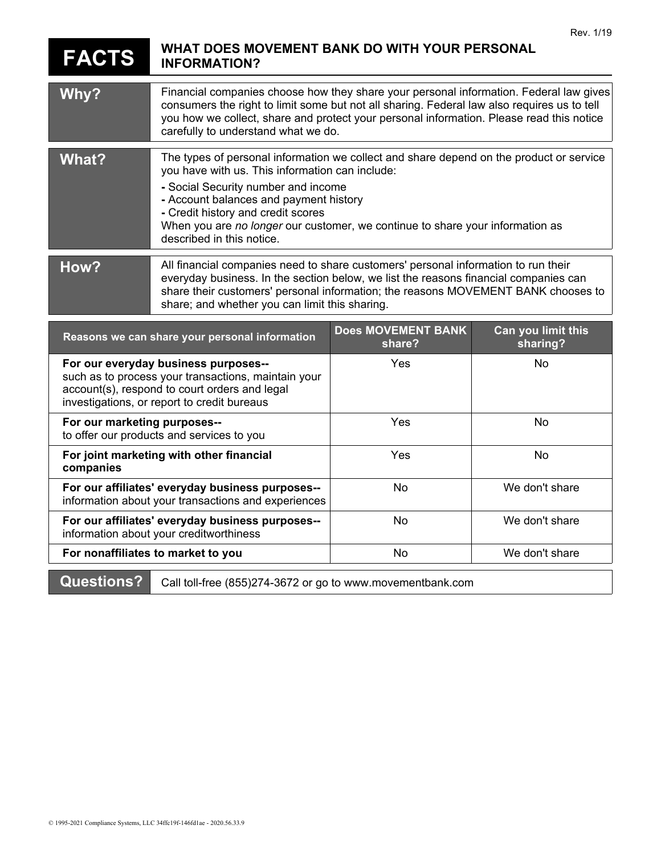## **FACTS WHAT DOES MOVEMENT BANK DO WITH YOUR PERSONAL INFORMATION?**

| Why?                                                                                                                                                                                        | Financial companies choose how they share your personal information. Federal law gives<br>consumers the right to limit some but not all sharing. Federal law also requires us to tell<br>you how we collect, share and protect your personal information. Please read this notice<br>carefully to understand what we do.                                                        |                                     |                                |
|---------------------------------------------------------------------------------------------------------------------------------------------------------------------------------------------|---------------------------------------------------------------------------------------------------------------------------------------------------------------------------------------------------------------------------------------------------------------------------------------------------------------------------------------------------------------------------------|-------------------------------------|--------------------------------|
| <b>What?</b>                                                                                                                                                                                | The types of personal information we collect and share depend on the product or service<br>you have with us. This information can include:<br>- Social Security number and income<br>- Account balances and payment history<br>- Credit history and credit scores<br>When you are no longer our customer, we continue to share your information as<br>described in this notice. |                                     |                                |
| How?                                                                                                                                                                                        | All financial companies need to share customers' personal information to run their<br>everyday business. In the section below, we list the reasons financial companies can<br>share their customers' personal information; the reasons MOVEMENT BANK chooses to<br>share; and whether you can limit this sharing.                                                               |                                     |                                |
| Reasons we can share your personal information                                                                                                                                              |                                                                                                                                                                                                                                                                                                                                                                                 | <b>Does MOVEMENT BANK</b><br>share? | Can you limit this<br>sharing? |
| For our everyday business purposes--<br>such as to process your transactions, maintain your<br>account(s), respond to court orders and legal<br>investigations, or report to credit bureaus |                                                                                                                                                                                                                                                                                                                                                                                 | Yes                                 | No                             |
| For our marketing purposes--<br>to offer our products and services to you                                                                                                                   |                                                                                                                                                                                                                                                                                                                                                                                 | Yes                                 | <b>No</b>                      |
| For joint marketing with other financial<br>companies                                                                                                                                       |                                                                                                                                                                                                                                                                                                                                                                                 | Yes                                 | <b>No</b>                      |
| For our affiliates' everyday business purposes--<br>information about your transactions and experiences                                                                                     |                                                                                                                                                                                                                                                                                                                                                                                 | No                                  | We don't share                 |
| For our affiliates' everyday business purposes--<br>information about your creditworthiness                                                                                                 |                                                                                                                                                                                                                                                                                                                                                                                 | No                                  | We don't share                 |
| For nonaffiliates to market to you                                                                                                                                                          |                                                                                                                                                                                                                                                                                                                                                                                 | No                                  | We don't share                 |
| <b>Questions?</b><br>Call toll-free (855)274-3672 or go to www.movementbank.com                                                                                                             |                                                                                                                                                                                                                                                                                                                                                                                 |                                     |                                |